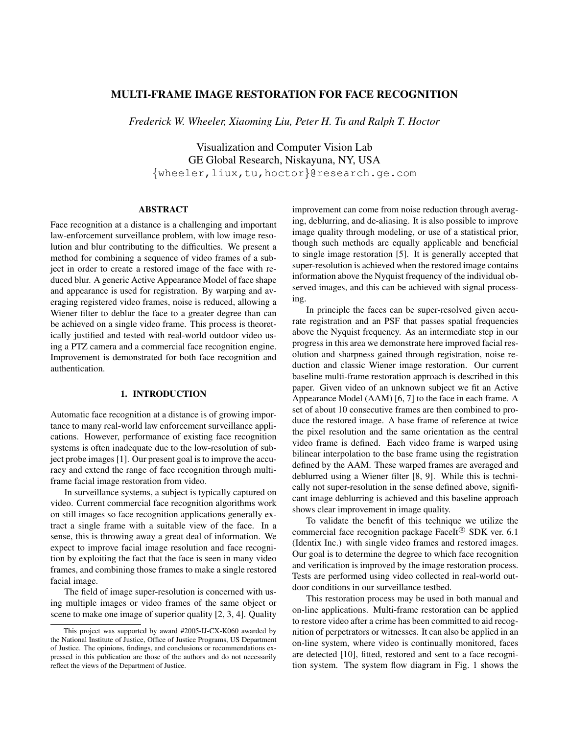# MULTI-FRAME IMAGE RESTORATION FOR FACE RECOGNITION

*Frederick W. Wheeler, Xiaoming Liu, Peter H. Tu and Ralph T. Hoctor*

Visualization and Computer Vision Lab GE Global Research, Niskayuna, NY, USA {wheeler,liux,tu,hoctor}@research.ge.com

## ABSTRACT

Face recognition at a distance is a challenging and important law-enforcement surveillance problem, with low image resolution and blur contributing to the difficulties. We present a method for combining a sequence of video frames of a subject in order to create a restored image of the face with reduced blur. A generic Active Appearance Model of face shape and appearance is used for registration. By warping and averaging registered video frames, noise is reduced, allowing a Wiener filter to deblur the face to a greater degree than can be achieved on a single video frame. This process is theoretically justified and tested with real-world outdoor video using a PTZ camera and a commercial face recognition engine. Improvement is demonstrated for both face recognition and authentication.

#### 1. INTRODUCTION

Automatic face recognition at a distance is of growing importance to many real-world law enforcement surveillance applications. However, performance of existing face recognition systems is often inadequate due to the low-resolution of subject probe images [1]. Our present goal is to improve the accuracy and extend the range of face recognition through multiframe facial image restoration from video.

In surveillance systems, a subject is typically captured on video. Current commercial face recognition algorithms work on still images so face recognition applications generally extract a single frame with a suitable view of the face. In a sense, this is throwing away a great deal of information. We expect to improve facial image resolution and face recognition by exploiting the fact that the face is seen in many video frames, and combining those frames to make a single restored facial image.

The field of image super-resolution is concerned with using multiple images or video frames of the same object or scene to make one image of superior quality [2, 3, 4]. Quality improvement can come from noise reduction through averaging, deblurring, and de-aliasing. It is also possible to improve image quality through modeling, or use of a statistical prior, though such methods are equally applicable and beneficial to single image restoration [5]. It is generally accepted that super-resolution is achieved when the restored image contains information above the Nyquist frequency of the individual observed images, and this can be achieved with signal processing.

In principle the faces can be super-resolved given accurate registration and an PSF that passes spatial frequencies above the Nyquist frequency. As an intermediate step in our progress in this area we demonstrate here improved facial resolution and sharpness gained through registration, noise reduction and classic Wiener image restoration. Our current baseline multi-frame restoration approach is described in this paper. Given video of an unknown subject we fit an Active Appearance Model (AAM) [6, 7] to the face in each frame. A set of about 10 consecutive frames are then combined to produce the restored image. A base frame of reference at twice the pixel resolution and the same orientation as the central video frame is defined. Each video frame is warped using bilinear interpolation to the base frame using the registration defined by the AAM. These warped frames are averaged and deblurred using a Wiener filter [8, 9]. While this is technically not super-resolution in the sense defined above, significant image deblurring is achieved and this baseline approach shows clear improvement in image quality.

To validate the benefit of this technique we utilize the commercial face recognition package FaceIt® SDK ver. 6.1 (Identix Inc.) with single video frames and restored images. Our goal is to determine the degree to which face recognition and verification is improved by the image restoration process. Tests are performed using video collected in real-world outdoor conditions in our surveillance testbed.

This restoration process may be used in both manual and on-line applications. Multi-frame restoration can be applied to restore video after a crime has been committed to aid recognition of perpetrators or witnesses. It can also be applied in an on-line system, where video is continually monitored, faces are detected [10], fitted, restored and sent to a face recognition system. The system flow diagram in Fig. 1 shows the

This project was supported by award #2005-IJ-CX-K060 awarded by the National Institute of Justice, Office of Justice Programs, US Department of Justice. The opinions, findings, and conclusions or recommendations expressed in this publication are those of the authors and do not necessarily reflect the views of the Department of Justice.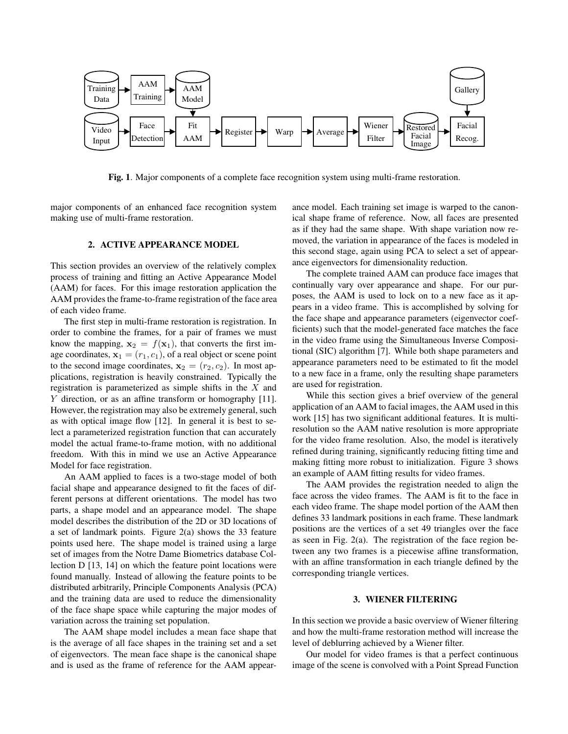

Fig. 1. Major components of a complete face recognition system using multi-frame restoration.

major components of an enhanced face recognition system making use of multi-frame restoration.

## 2. ACTIVE APPEARANCE MODEL

This section provides an overview of the relatively complex process of training and fitting an Active Appearance Model (AAM) for faces. For this image restoration application the AAM provides the frame-to-frame registration of the face area of each video frame.

The first step in multi-frame restoration is registration. In order to combine the frames, for a pair of frames we must know the mapping,  $x_2 = f(x_1)$ , that converts the first image coordinates,  $x_1 = (r_1, c_1)$ , of a real object or scene point to the second image coordinates,  $x_2 = (r_2, c_2)$ . In most applications, registration is heavily constrained. Typically the registration is parameterized as simple shifts in the X and Y direction, or as an affine transform or homography [11]. However, the registration may also be extremely general, such as with optical image flow [12]. In general it is best to select a parameterized registration function that can accurately model the actual frame-to-frame motion, with no additional freedom. With this in mind we use an Active Appearance Model for face registration.

An AAM applied to faces is a two-stage model of both facial shape and appearance designed to fit the faces of different persons at different orientations. The model has two parts, a shape model and an appearance model. The shape model describes the distribution of the 2D or 3D locations of a set of landmark points. Figure 2(a) shows the 33 feature points used here. The shape model is trained using a large set of images from the Notre Dame Biometrics database Collection D [13, 14] on which the feature point locations were found manually. Instead of allowing the feature points to be distributed arbitrarily, Principle Components Analysis (PCA) and the training data are used to reduce the dimensionality of the face shape space while capturing the major modes of variation across the training set population.

The AAM shape model includes a mean face shape that is the average of all face shapes in the training set and a set of eigenvectors. The mean face shape is the canonical shape and is used as the frame of reference for the AAM appearance model. Each training set image is warped to the canonical shape frame of reference. Now, all faces are presented as if they had the same shape. With shape variation now removed, the variation in appearance of the faces is modeled in this second stage, again using PCA to select a set of appearance eigenvectors for dimensionality reduction.

The complete trained AAM can produce face images that continually vary over appearance and shape. For our purposes, the AAM is used to lock on to a new face as it appears in a video frame. This is accomplished by solving for the face shape and appearance parameters (eigenvector coefficients) such that the model-generated face matches the face in the video frame using the Simultaneous Inverse Compositional (SIC) algorithm [7]. While both shape parameters and appearance parameters need to be estimated to fit the model to a new face in a frame, only the resulting shape parameters are used for registration.

While this section gives a brief overview of the general application of an AAM to facial images, the AAM used in this work [15] has two significant additional features. It is multiresolution so the AAM native resolution is more appropriate for the video frame resolution. Also, the model is iteratively refined during training, significantly reducing fitting time and making fitting more robust to initialization. Figure 3 shows an example of AAM fitting results for video frames.

The AAM provides the registration needed to align the face across the video frames. The AAM is fit to the face in each video frame. The shape model portion of the AAM then defines 33 landmark positions in each frame. These landmark positions are the vertices of a set 49 triangles over the face as seen in Fig. 2(a). The registration of the face region between any two frames is a piecewise affine transformation, with an affine transformation in each triangle defined by the corresponding triangle vertices.

### 3. WIENER FILTERING

In this section we provide a basic overview of Wiener filtering and how the multi-frame restoration method will increase the level of deblurring achieved by a Wiener filter.

Our model for video frames is that a perfect continuous image of the scene is convolved with a Point Spread Function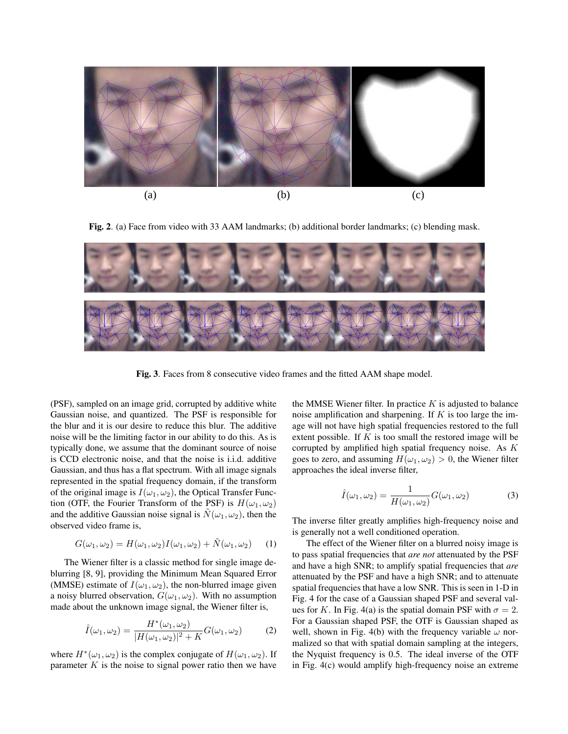

Fig. 2. (a) Face from video with 33 AAM landmarks; (b) additional border landmarks; (c) blending mask.



Fig. 3. Faces from 8 consecutive video frames and the fitted AAM shape model.

(PSF), sampled on an image grid, corrupted by additive white Gaussian noise, and quantized. The PSF is responsible for the blur and it is our desire to reduce this blur. The additive noise will be the limiting factor in our ability to do this. As is typically done, we assume that the dominant source of noise is CCD electronic noise, and that the noise is i.i.d. additive Gaussian, and thus has a flat spectrum. With all image signals represented in the spatial frequency domain, if the transform of the original image is  $I(\omega_1, \omega_2)$ , the Optical Transfer Function (OTF, the Fourier Transform of the PSF) is  $H(\omega_1, \omega_2)$ and the additive Gaussian noise signal is  $N(\omega_1, \omega_2)$ , then the observed video frame is,

$$
G(\omega_1, \omega_2) = H(\omega_1, \omega_2)I(\omega_1, \omega_2) + \tilde{N}(\omega_1, \omega_2)
$$
 (1)

The Wiener filter is a classic method for single image deblurring [8, 9], providing the Minimum Mean Squared Error (MMSE) estimate of  $I(\omega_1, \omega_2)$ , the non-blurred image given a noisy blurred observation,  $G(\omega_1, \omega_2)$ . With no assumption made about the unknown image signal, the Wiener filter is,

$$
\hat{I}(\omega_1, \omega_2) = \frac{H^*(\omega_1, \omega_2)}{|H(\omega_1, \omega_2)|^2 + K} G(\omega_1, \omega_2)
$$
 (2)

where  $H^*(\omega_1, \omega_2)$  is the complex conjugate of  $H(\omega_1, \omega_2)$ . If parameter  $K$  is the noise to signal power ratio then we have the MMSE Wiener filter. In practice  $K$  is adjusted to balance noise amplification and sharpening. If  $K$  is too large the image will not have high spatial frequencies restored to the full extent possible. If  $K$  is too small the restored image will be corrupted by amplified high spatial frequency noise. As K goes to zero, and assuming  $H(\omega_1, \omega_2) > 0$ , the Wiener filter approaches the ideal inverse filter,

$$
\hat{I}(\omega_1, \omega_2) = \frac{1}{H(\omega_1, \omega_2)} G(\omega_1, \omega_2)
$$
\n(3)

The inverse filter greatly amplifies high-frequency noise and is generally not a well conditioned operation.

The effect of the Wiener filter on a blurred noisy image is to pass spatial frequencies that *are not* attenuated by the PSF and have a high SNR; to amplify spatial frequencies that *are* attenuated by the PSF and have a high SNR; and to attenuate spatial frequencies that have a low SNR. This is seen in 1-D in Fig. 4 for the case of a Gaussian shaped PSF and several values for K. In Fig. 4(a) is the spatial domain PSF with  $\sigma = 2$ . For a Gaussian shaped PSF, the OTF is Gaussian shaped as well, shown in Fig. 4(b) with the frequency variable  $\omega$  normalized so that with spatial domain sampling at the integers, the Nyquist frequency is 0.5. The ideal inverse of the OTF in Fig. 4(c) would amplify high-frequency noise an extreme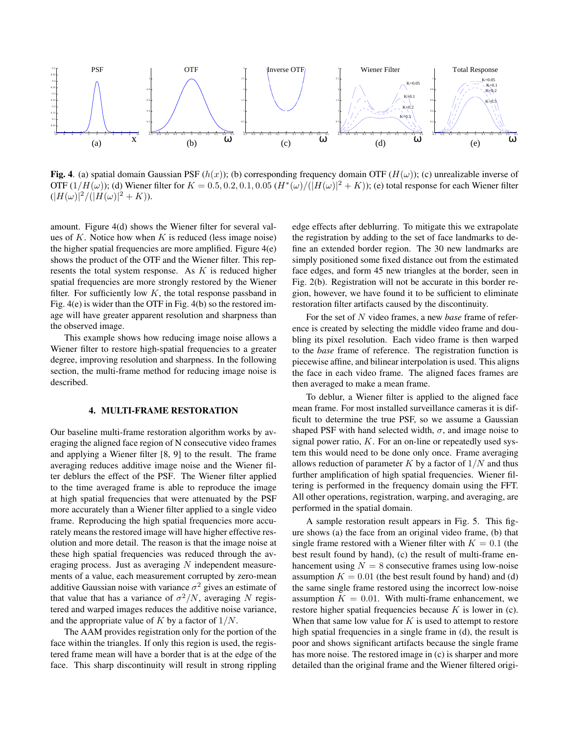

Fig. 4. (a) spatial domain Gaussian PSF  $(h(x))$ ; (b) corresponding frequency domain OTF  $(H(\omega))$ ; (c) unrealizable inverse of OTF  $(1/H(\omega))$ ; (d) Wiener filter for  $K = 0.5, 0.2, 0.1, 0.05$   $(H^*(\omega)/(|H(\omega)|^2 + K))$ ; (e) total response for each Wiener filter  $(|H(\omega)|^2/(|H(\omega)|^2 + K)).$ 

amount. Figure 4(d) shows the Wiener filter for several values of K. Notice how when K is reduced (less image noise) the higher spatial frequencies are more amplified. Figure 4(e) shows the product of the OTF and the Wiener filter. This represents the total system response. As  $K$  is reduced higher spatial frequencies are more strongly restored by the Wiener filter. For sufficiently low  $K$ , the total response passband in Fig. 4(e) is wider than the OTF in Fig. 4(b) so the restored image will have greater apparent resolution and sharpness than the observed image.

This example shows how reducing image noise allows a Wiener filter to restore high-spatial frequencies to a greater degree, improving resolution and sharpness. In the following section, the multi-frame method for reducing image noise is described.

## 4. MULTI-FRAME RESTORATION

Our baseline multi-frame restoration algorithm works by averaging the aligned face region of N consecutive video frames and applying a Wiener filter [8, 9] to the result. The frame averaging reduces additive image noise and the Wiener filter deblurs the effect of the PSF. The Wiener filter applied to the time averaged frame is able to reproduce the image at high spatial frequencies that were attenuated by the PSF more accurately than a Wiener filter applied to a single video frame. Reproducing the high spatial frequencies more accurately means the restored image will have higher effective resolution and more detail. The reason is that the image noise at these high spatial frequencies was reduced through the averaging process. Just as averaging N independent measurements of a value, each measurement corrupted by zero-mean additive Gaussian noise with variance  $\sigma^2$  gives an estimate of that value that has a variance of  $\sigma^2/N$ , averaging N registered and warped images reduces the additive noise variance, and the appropriate value of  $K$  by a factor of  $1/N$ .

The AAM provides registration only for the portion of the face within the triangles. If only this region is used, the registered frame mean will have a border that is at the edge of the face. This sharp discontinuity will result in strong rippling

edge effects after deblurring. To mitigate this we extrapolate the registration by adding to the set of face landmarks to define an extended border region. The 30 new landmarks are simply positioned some fixed distance out from the estimated face edges, and form 45 new triangles at the border, seen in Fig. 2(b). Registration will not be accurate in this border region, however, we have found it to be sufficient to eliminate restoration filter artifacts caused by the discontinuity.

For the set of N video frames, a new *base* frame of reference is created by selecting the middle video frame and doubling its pixel resolution. Each video frame is then warped to the *base* frame of reference. The registration function is piecewise affine, and bilinear interpolation is used. This aligns the face in each video frame. The aligned faces frames are then averaged to make a mean frame.

To deblur, a Wiener filter is applied to the aligned face mean frame. For most installed surveillance cameras it is difficult to determine the true PSF, so we assume a Gaussian shaped PSF with hand selected width,  $\sigma$ , and image noise to signal power ratio,  $K$ . For an on-line or repeatedly used system this would need to be done only once. Frame averaging allows reduction of parameter  $K$  by a factor of  $1/N$  and thus further amplification of high spatial frequencies. Wiener filtering is performed in the frequency domain using the FFT. All other operations, registration, warping, and averaging, are performed in the spatial domain.

A sample restoration result appears in Fig. 5. This figure shows (a) the face from an original video frame, (b) that single frame restored with a Wiener filter with  $K = 0.1$  (the best result found by hand), (c) the result of multi-frame enhancement using  $N = 8$  consecutive frames using low-noise assumption  $K = 0.01$  (the best result found by hand) and (d) the same single frame restored using the incorrect low-noise assumption  $K = 0.01$ . With multi-frame enhancement, we restore higher spatial frequencies because  $K$  is lower in (c). When that same low value for  $K$  is used to attempt to restore high spatial frequencies in a single frame in (d), the result is poor and shows significant artifacts because the single frame has more noise. The restored image in (c) is sharper and more detailed than the original frame and the Wiener filtered origi-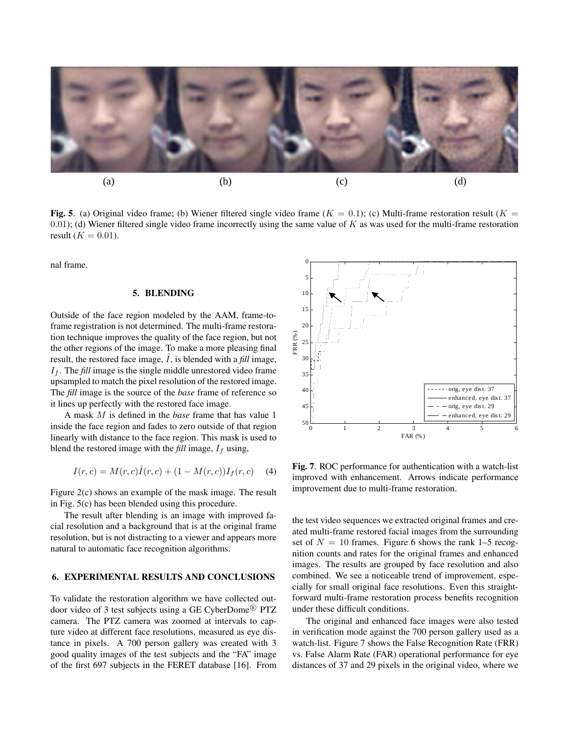

Fig. 5. (a) Original video frame; (b) Wiener filtered single video frame  $(K = 0.1)$ ; (c) Multi-frame restoration result  $(K = 1.1)$ 0.01); (d) Wiener filtered single video frame incorrectly using the same value of  $K$  as was used for the multi-frame restoration result ( $K = 0.01$ ).

nal frame.

## 5. BLENDING

Outside of the face region modeled by the AAM, frame-toframe registration is not determined. The multi-frame restoration technique improves the quality of the face region, but not the other regions of the image. To make a more pleasing final result, the restored face image,  $I$ , is blended with a *fill* image,  $I_f$ . The *fill* image is the single middle unrestored video frame upsampled to match the pixel resolution of the restored image. The *fill* image is the source of the *base* frame of reference so it lines up perfectly with the restored face image.

A mask M is defined in the *base* frame that has value 1 inside the face region and fades to zero outside of that region linearly with distance to the face region. This mask is used to blend the restored image with the  $\text{full image}$ ,  $I_f$  using,

$$
I(r,c) = M(r,c)\hat{I}(r,c) + (1 - M(r,c))I_f(r,c)
$$
 (4)

Figure 2(c) shows an example of the mask image. The result in Fig. 5(c) has been blended using this procedure.

The result after blending is an image with improved facial resolution and a background that is at the original frame resolution, but is not distracting to a viewer and appears more natural to automatic face recognition algorithms.

## 6. EXPERIMENTAL RESULTS AND CONCLUSIONS

To validate the restoration algorithm we have collected outdoor video of 3 test subjects using a GE CyberDome<sup>®</sup> PTZ camera. The PTZ camera was zoomed at intervals to capture video at different face resolutions, measured as eye distance in pixels. A 700 person gallery was created with 3 good quality images of the test subjects and the "FA" image of the first 697 subjects in the FERET database [16]. From



Fig. 7. ROC performance for authentication with a watch-list improved with enhancement. Arrows indicate performance improvement due to multi-frame restoration.

the test video sequences we extracted original frames and created multi-frame restored facial images from the surrounding set of  $N = 10$  frames. Figure 6 shows the rank 1–5 recognition counts and rates for the original frames and enhanced images. The results are grouped by face resolution and also combined. We see a noticeable trend of improvement, especially for small original face resolutions. Even this straightforward multi-frame restoration process benefits recognition under these difficult conditions.

The original and enhanced face images were also tested in verification mode against the 700 person gallery used as a watch-list. Figure 7 shows the False Recognition Rate (FRR) vs. False Alarm Rate (FAR) operational performance for eye distances of 37 and 29 pixels in the original video, where we